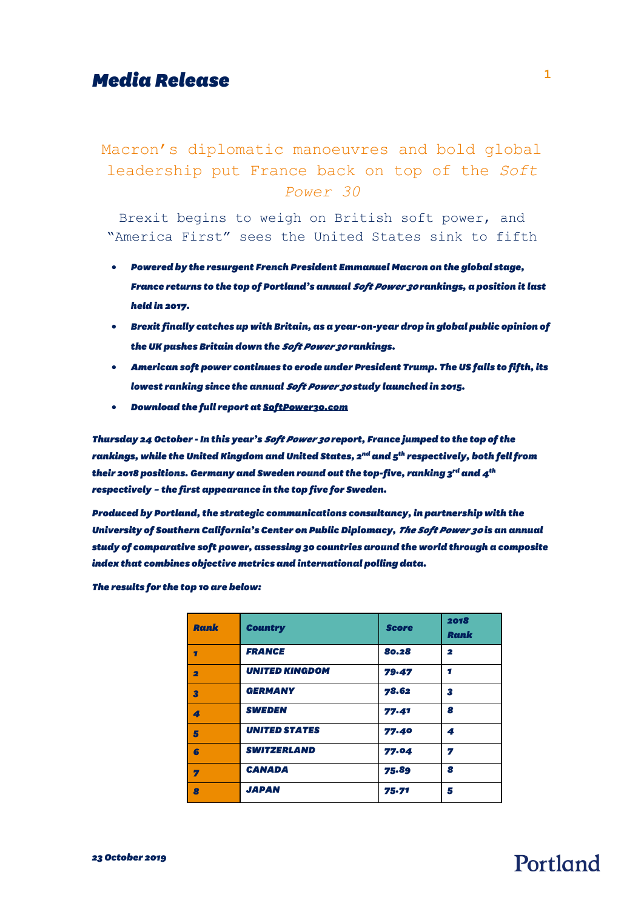# *Media Release* **<sup>1</sup>**

### Macron's diplomatic manoeuvres and bold global leadership put France back on top of the *Soft Power 30*

Brexit begins to weigh on British soft power, and "America First" sees the United States sink to fifth

- *Powered by the resurgent French President Emmanuel Macron on the global stage, France returns to the top of Portland's annual Soft Power 30 rankings, a position it last held in 2017.*
- *Brexit finally catches up with Britain, as a year-on-year drop in global public opinion of the UK pushes Britain down the Soft Power 30 rankings.*
- *American soft power continues to erode under President Trump. The US falls to fifth, its lowest ranking since the annual Soft Power 30 study launched in 2015.*
- *Download the full report a[t SoftPower30.com](https://softpower30.com/)*

*Thursday 24 October -In this year's Soft Power 30 report, France jumped to the top ofthe rankings, while the United Kingdom and United States, 2nd and 5th respectively, both fell from their 2018 positions. Germany and Sweden round out the top-five, ranking 3rd and 4th respectively – the first appearance in the top five for Sweden.*

*Produced by Portland, the strategic communications consultancy, in partnership with the University of Southern California's Center on Public Diplomacy, The Soft Power 30 is an annual study of comparative soft power, assessing 30 countries around the world through a composite index that combines objective metrics and international polling data.*

*The results for the top 10 are below:*

| <b>Rank</b>             | <b>Country</b>        | <b>Score</b> | 2018<br>Rank |
|-------------------------|-----------------------|--------------|--------------|
| Ŧ                       | <b>FRANCE</b>         | 80.28        | $\mathbf{2}$ |
| $\overline{\mathbf{2}}$ | <b>UNITED KINGDOM</b> | 79.47        | п            |
| 3                       | <b>GERMANY</b>        | 78.62        | 3            |
| 4                       | <b>SWEDEN</b>         | 77.41        | 8            |
| 5                       | <b>UNITED STATES</b>  | 77.40        | 4            |
| 6                       | <b>SWITZERLAND</b>    | 77.04        | 7            |
| 7                       | <b>CANADA</b>         | 75.89        | 8            |
| $\overline{\mathbf{a}}$ | <b>JAPAN</b>          | 75.71        | 5            |

# Portland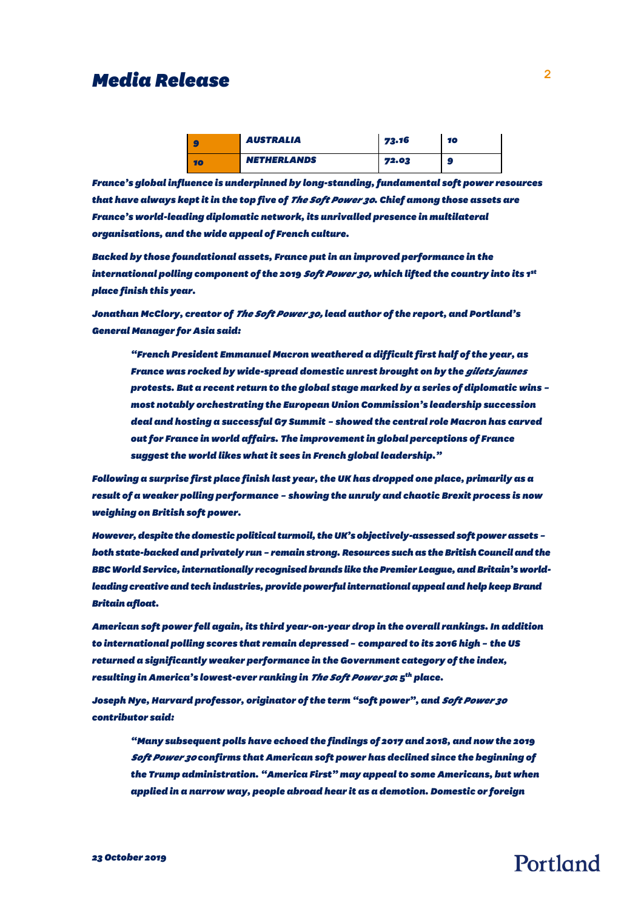### *Media Release* **<sup>2</sup>**

| ٠. | <b>AUSTRALIA</b>   | 73.16 | 10 |
|----|--------------------|-------|----|
| 10 | <b>NETHERLANDS</b> | 72.03 | G  |

*France's global influence is underpinned by long-standing,fundamental soft power resources that have always kept itin the top five of The Soft Power 30. Chief among those assets are France's world-leading diplomatic network, its unrivalled presence in multilateral organisations, and the wide appeal of French culture.* 

*Backed by those foundational assets, France put in an improved performance in the international polling component of the 2019 Soft Power 30, which lifted the country into its 1st place finish this year.* 

*Jonathan McClory, creator of The Soft Power 30, lead author of the report, and Portland's General Manager for Asia said:* 

*"French President Emmanuel Macron weathered a difficultfirst half of the year, as France was rocked by wide-spread domestic unrest brought on by the gilets jaunes protests. But a recent return to the global stage marked by a series of diplomatic wins – most notably orchestrating the European Union Commission's leadership succession deal and hosting a successful G7 Summit – showed the central role Macron has carved out for France in world affairs. The improvement in global perceptions of France suggest the world likes what it sees in French global leadership."*

*Following a surprise first place finish last year, the UK has dropped one place, primarily as a result of a weaker polling performance – showing the unruly and chaotic Brexit process is now weighing on British soft power.* 

*However, despite the domestic political turmoil, the UK's objectively-assessed soft power assets – both state-backed and privately run – remain strong. Resources such as the British Council and the BBC World Service, internationally recognised brands like the Premier League, and Britain's worldleading creative and tech industries, provide powerful international appeal and help keep Brand Britain afloat.*

*American soft power fell again, its third year-on-year drop in the overall rankings. In addition to international polling scores that remain depressed – compared to its 2016 high – the US returned a significantly weaker performance in the Government category of the index, resulting inAmerica's lowest-ever ranking in The Soft Power 30: 5th place.* 

*Joseph Nye, Harvard professor, originator of the term "soft power", and Soft Power 30 contributor said:* 

*"Many subsequent polls have echoed the findings of 2017 and 2018, and now the 2019 Soft Power 30 confirms that American soft power has declined since the beginning of the Trump administration. "America First" may appeal to some Americans, but when applied in a narrow way, people abroad hear it as a demotion. Domestic or foreign* 

### *23 October 2019*

# Portland